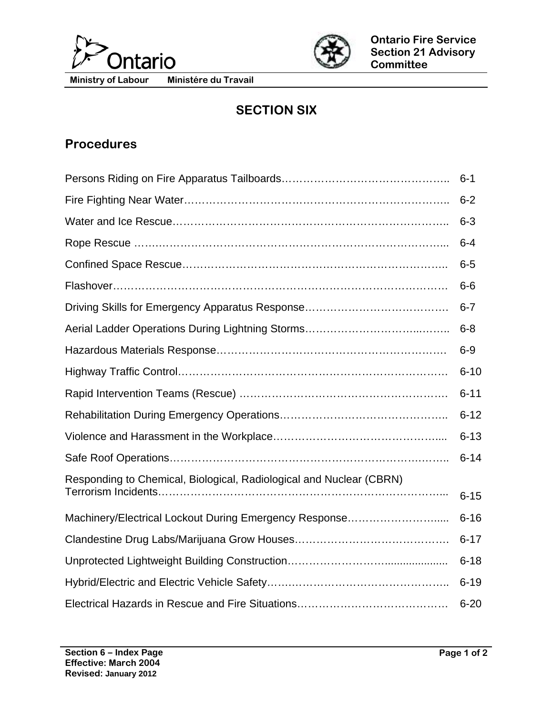



**Ministry of Labour Ministére du Travail** 

## **SECTION SIX**

## **Procedures**

|                                                                     | $6 - 1$  |
|---------------------------------------------------------------------|----------|
|                                                                     | $6 - 2$  |
|                                                                     | $6 - 3$  |
|                                                                     | $6 - 4$  |
|                                                                     | $6-5$    |
|                                                                     | $6-6$    |
|                                                                     | $6 - 7$  |
|                                                                     | $6 - 8$  |
|                                                                     | $6-9$    |
|                                                                     | $6 - 10$ |
|                                                                     | $6 - 11$ |
|                                                                     | $6 - 12$ |
|                                                                     | $6 - 13$ |
|                                                                     | $6 - 14$ |
| Responding to Chemical, Biological, Radiological and Nuclear (CBRN) |          |
|                                                                     | $6 - 15$ |
| Machinery/Electrical Lockout During Emergency Response              | $6 - 16$ |
|                                                                     | $6 - 17$ |
|                                                                     | $6 - 18$ |
|                                                                     | $6 - 19$ |
|                                                                     | $6 - 20$ |